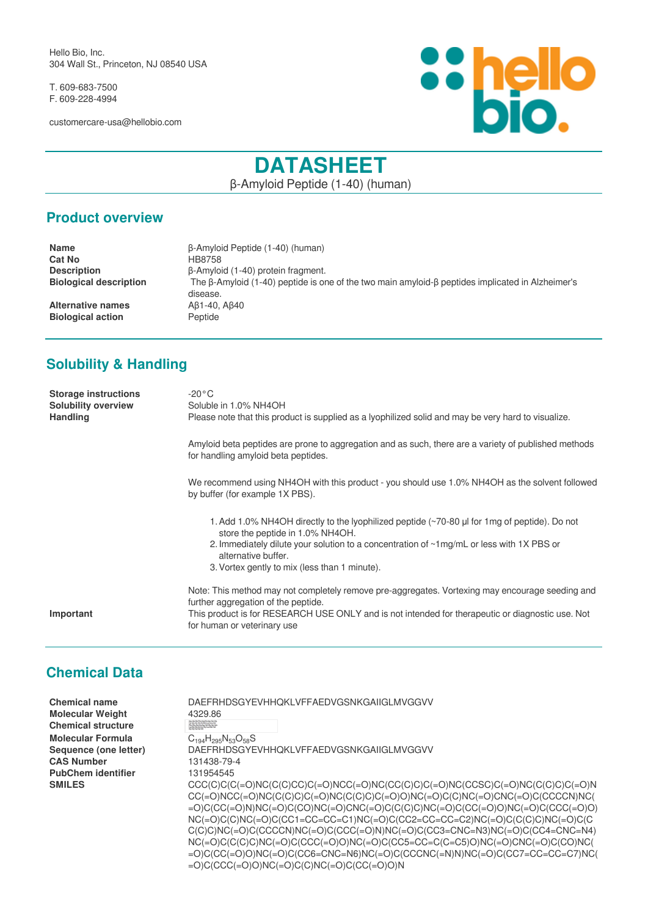Hello Bio, Inc. 304 Wall St., Princeton, NJ 08540 USA

T. 609-683-7500 F. 609-228-4994

customercare-usa@hellobio.com



# **DATASHEET**

β-Amyloid Peptide (1-40) (human)

#### **Product overview**

**Name** β-Amyloid Peptide (1-40) (human) **Cat No** HB8758<br> **Description** β-Amyloi **Description** β-Amyloid (1-40) protein fragment.<br>**Biological description** The β-Amyloid (1-40) peptide is or **The β-Amyloid (1-40) peptide is one of the two main amyloid-β peptides implicated in Alzheimer's** disease. **Alternative names** Aβ1-40, Aβ40 **Biological action** Peptide

## **Solubility & Handling**

| <b>Storage instructions</b><br><b>Solubility overview</b><br><b>Handling</b> | $-20^{\circ}$ C<br>Soluble in 1.0% NH4OH<br>Please note that this product is supplied as a lyophilized solid and may be very hard to visualize.                                                                                                                                                      |
|------------------------------------------------------------------------------|------------------------------------------------------------------------------------------------------------------------------------------------------------------------------------------------------------------------------------------------------------------------------------------------------|
|                                                                              | Amyloid beta peptides are prone to aggregation and as such, there are a variety of published methods<br>for handling amyloid beta peptides.                                                                                                                                                          |
|                                                                              | We recommend using NH4OH with this product - you should use 1.0% NH4OH as the solvent followed<br>by buffer (for example 1X PBS).                                                                                                                                                                    |
|                                                                              | 1. Add 1.0% NH4OH directly to the lyophilized peptide (~70-80 µl for 1mg of peptide). Do not<br>store the peptide in 1.0% NH4OH.<br>2. Immediately dilute your solution to a concentration of ~1mg/mL or less with 1X PBS or<br>alternative buffer.<br>3. Vortex gently to mix (less than 1 minute). |
| Important                                                                    | Note: This method may not completely remove pre-aggregates. Vortexing may encourage seeding and<br>further aggregation of the peptide.<br>This product is for RESEARCH USE ONLY and is not intended for therapeutic or diagnostic use. Not<br>for human or veterinary use                            |

## **Chemical Data**

| Chemical name<br><b>Molecular Weight</b> | DAEFRHDSGYEVHHOKLVFFAEDVGSNKGAIIGLMVGGVV<br>4329.86                                                                                                                                                                                                                                                                 |
|------------------------------------------|---------------------------------------------------------------------------------------------------------------------------------------------------------------------------------------------------------------------------------------------------------------------------------------------------------------------|
| <b>Chemical structure</b>                | Asp Ala-Gis atte Ang Fisi-Asp Cer Giy<br>Phe Phe Alla Cite Ang Vid City Ser Ant<br>Il pe Phe Alla Cite City Car City Ser Ant<br>Il pe Giy Hai The City Car Met Vid<br>Gir Giy Hai Fital Citi                                                                                                                        |
| Molecular Formula                        | $C_{194}H_{295}N_{53}O_{58}S$                                                                                                                                                                                                                                                                                       |
| Sequence (one letter)                    | DAEFRHDSGYEVHHOKLVFFAEDVGSNKGAIIGLMVGGVV                                                                                                                                                                                                                                                                            |
| <b>CAS Number</b>                        | 131438-79-4                                                                                                                                                                                                                                                                                                         |
| PubChem identifier                       | 131954545                                                                                                                                                                                                                                                                                                           |
| <b>SMILES</b>                            | $CCC(C)C(C(=O)NC(C(C)CC)CC(=O)NCC(=O)NC(CC(C)C)CC(=O)NC(CCSC)C(=O)NC(C(C)C)C(=O)NC(C(C)CC(=O)NC(C)CC(=O)NC(C)CC(=O)NC(C)CC(=O)NC(C)CC(=O)NC(C)CC(=O)NC(C)CC(=O)NC(C)CC(=O)NC(C)CC(=O)NC(C)CC(=O)NC(C)CC(=O)NC(C)CC(=O)NC(C)CC(=O)NC(C)CC(=O)NC(C)CC(=O)NC(C)CC(=O)NC(C)CC(=O)NC(C)CC(=O)NC(C)CC(=O)NC(C)CC(=O)NC(C$ |
|                                          |                                                                                                                                                                                                                                                                                                                     |
|                                          | =O)C(CC(=O)N)NC(=O)C(CO)NC(=O)CNC(=O)C(C(C)C)NC(=O)C(CCC(=O)O)NC(=O)C(CCC(=O)O)                                                                                                                                                                                                                                     |
|                                          | $NC(=0)C(C)NC(=0)C(CC1=CC=CC=C1)NC(=0)C(CC2=CC=CC=C2)NC(=0)C(C(C)C)NC(=0)C(CC)$                                                                                                                                                                                                                                     |
|                                          | C(C)C)NC(=O)C(CCCCN)NC(=O)C(CCC(=O)N)NC(=O)C(CC3=CNC=N3)NC(=O)C(CC4=CNC=N4)                                                                                                                                                                                                                                         |
|                                          | $NC(=O)C(C(C)C)NC(=O)C(CCC(=O)O)NC(=O)C(CC5=CC=C(C=CS)O)NC(=O)CNC(=O)C(CO)NC($                                                                                                                                                                                                                                      |
|                                          | =O)C(CC(=O)O)NC(=O)C(CC6=CNC=N6)NC(=O)C(CCCNC(=N)N)NC(=O)C(CC7=CC=CC=C7)NC(                                                                                                                                                                                                                                         |

 $=$ O)C(CCC( $=$ O)O)NC( $=$ O)C(C)NC( $=$ O)C(CC( $=$ O)O)N